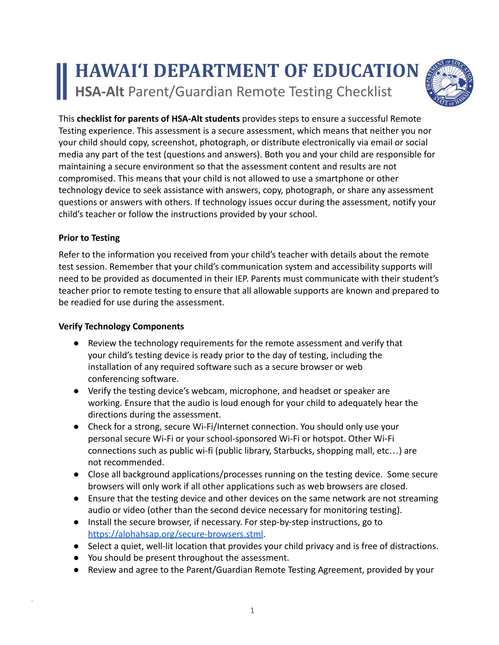# **HAWAI'I DEPARTMENT OF EDUCATION HSA-Alt** Parent/Guardian Remote Testing Checklist



This **checklist for parents of HSA-Alt students** provides steps to ensure a successful Remote Testing experience. This assessment is a secure assessment, which means that neither you nor your child should copy, screenshot, photograph, or distribute electronically via email or social media any part of the test (questions and answers). Both you and your child are responsible for maintaining a secure environment so that the assessment content and results are not compromised. This means that your child is not allowed to use a smartphone or other technology device to seek assistance with answers, copy, photograph, or share any assessment questions or answers with others. If technology issues occur during the assessment, notify your child's teacher or follow the instructions provided by your school.

### **Prior to Testing**

Refer to the information you received from your child's teacher with details about the remote test session. Remember that your child's communication system and accessibility supports will need to be provided as documented in their IEP. Parents must communicate with their student's teacher prior to remote testing to ensure that all allowable supports are known and prepared to be readied for use during the assessment.

#### **Verify Technology Components**

- Review the technology requirements for the remote assessment and verify that your child's testing device is ready prior to the day of testing, including the installation of any required software such as a secure browser or web conferencing software.
- Verify the testing device's webcam, microphone, and headset or speaker are working. Ensure that the audio is loud enough for your child to adequately hear the directions during the assessment.
- Check for a strong, secure Wi-Fi/Internet connection. You should only use your personal secure Wi-Fi or your school-sponsored Wi-Fi or hotspot. Other Wi-Fi connections such as public wi-fi (public library, Starbucks, shopping mall, etc…) are not recommended.
- Close all background applications/processes running on the testing device. Some secure browsers will only work if all other applications such as web browsers are closed.
- Ensure that the testing device and other devices on the same network are not streaming audio or video (other than the second device necessary for monitoring testing).
- Install the secure browser, if necessary. For step-by-step instructions, go to [https://alohahsap.org/secure-browsers.stml.](https://alohahsap.org/secure-browsers.stml)
- Select a quiet, well-lit location that provides your child privacy and is free of distractions.
- You should be present throughout the assessment.
- Review and agree to the Parent/Guardian Remote Testing Agreement, provided by your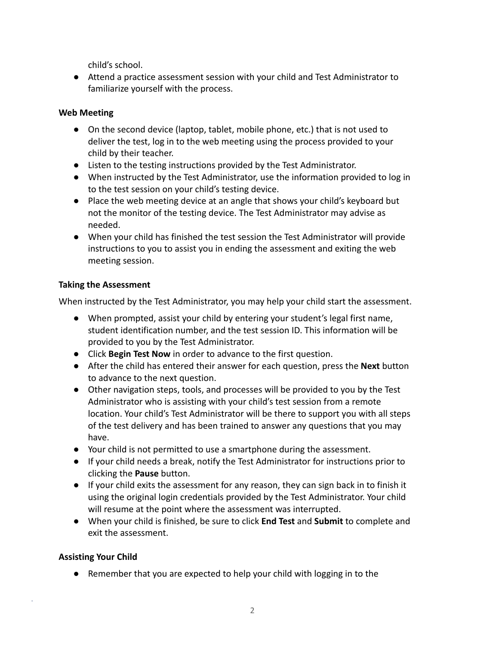child's school.

● Attend a practice assessment session with your child and Test Administrator to familiarize yourself with the process.

### **Web Meeting**

- On the second device (laptop, tablet, mobile phone, etc.) that is not used to deliver the test, log in to the web meeting using the process provided to your child by their teacher.
- Listen to the testing instructions provided by the Test Administrator.
- When instructed by the Test Administrator, use the information provided to log in to the test session on your child's testing device.
- Place the web meeting device at an angle that shows your child's keyboard but not the monitor of the testing device. The Test Administrator may advise as needed.
- When your child has finished the test session the Test Administrator will provide instructions to you to assist you in ending the assessment and exiting the web meeting session.

## **Taking the Assessment**

When instructed by the Test Administrator, you may help your child start the assessment.

- When prompted, assist your child by entering your student's legal first name, student identification number, and the test session ID. This information will be provided to you by the Test Administrator.
- Click **Begin Test Now** in order to advance to the first question.
- After the child has entered their answer for each question, press the **Next** button to advance to the next question.
- Other navigation steps, tools, and processes will be provided to you by the Test Administrator who is assisting with your child's test session from a remote location. Your child's Test Administrator will be there to support you with all steps of the test delivery and has been trained to answer any questions that you may have.
- Your child is not permitted to use a smartphone during the assessment.
- If your child needs a break, notify the Test Administrator for instructions prior to clicking the **Pause** button.
- If your child exits the assessment for any reason, they can sign back in to finish it using the original login credentials provided by the Test Administrator. Your child will resume at the point where the assessment was interrupted.
- When your child is finished, be sure to click **End Test** and **Submit** to complete and exit the assessment.

## **Assisting Your Child**

● Remember that you are expected to help your child with logging in to the